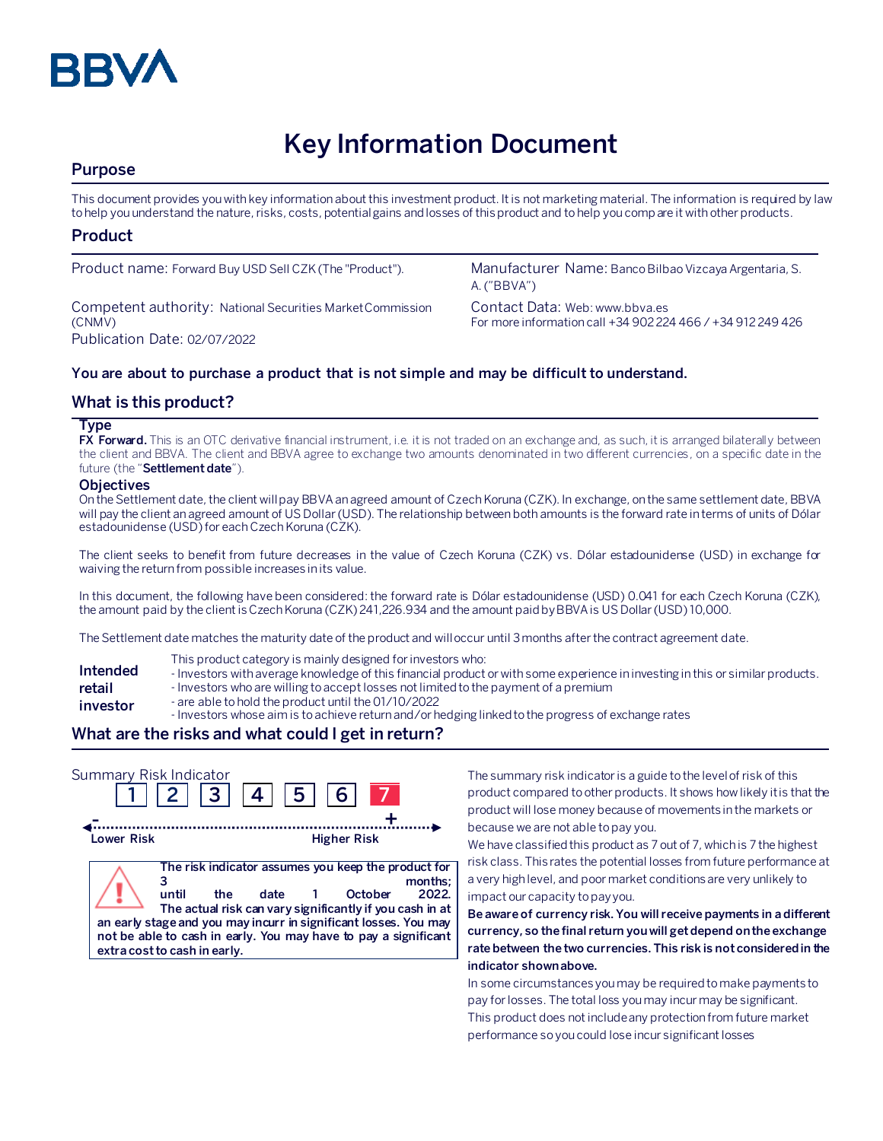

# **Key Information Document**

# **Purpose**

This document provides you with key information about this investment product. It is not marketing material. The information is required by law to help you understand the nature, risks, costs, potential gains and losses of this product and to help you compare it with other products.

## **Product**

Competent authority: National Securities Market Commission (CNMV) Publication Date: 02/07/2022

Product name: Forward Buy USD Sell CZK (The "Product"). Manufacturer Name: Banco Bilbao Vizcaya Argentaria, S. A. ("BBVA")

> Contact Data: Web: www.bbva.es For more information call +34 902 224 466 / +34 912 249 426

## **You are about to purchase a product that is not simple and may be difficult to understand.**

## **What is this product?**

#### **Type**

**FX Forward.** This is an OTC derivative financial instrument, i.e. it is not traded on an exchange and, as such, it is arranged bilaterally between the client and BBVA. The client and BBVA agree to exchange two amounts denominated in two different currencies, on a specific date in the future (the "**Settlement date**").

#### **Objectives**

On the Settlement date, the client will pay BBVA an agreed amount of Czech Koruna (CZK). In exchange, on the same settlement date, BBVA will pay the client an agreed amount of US Dollar(USD). The relationship between both amounts is the forward rate in terms of units of Dólar estadounidense (USD) for each Czech Koruna (CZK).

The client seeks to benefit from future decreases in the value of Czech Koruna (CZK) vs. Dólar estadounidense (USD) in exchange for waiving the return from possible increases in its value.

In this document, the following have been considered: the forward rate is Dólar estadounidense (USD) 0.041 for each Czech Koruna (CZK), the amount paid by the client is Czech Koruna (CZK) 241,226.934 and the amount paidby BBVA is US Dollar(USD) 10,000.

The Settlement date matches the maturity date of the product and will occur until 3 months after the contract agreement date.

- This product category is mainly designed for investors who:
- **Intended**  - Investors with average knowledge of this financial product or with some experience in investing in this or similar products.
- **retail**  - Investors who are willing to accept losses not limited to the payment of a premium
- **investor** - are able to hold the product until the 01/10/2022
	- Investors whose aim is to achieve return and/or hedging linked to the progress of exchange rates

# **What are the risks and what could I get in return?**

| Summary Risk Indicator |                                              | 2  3  4  5  6 |                         |                                                                                                                                                                                                                                                                            |
|------------------------|----------------------------------------------|---------------|-------------------------|----------------------------------------------------------------------------------------------------------------------------------------------------------------------------------------------------------------------------------------------------------------------------|
| Lower Risk             |                                              |               | <b>Higher Risk</b>      |                                                                                                                                                                                                                                                                            |
|                        | until<br>the<br>extra cost to cash in early. | date          | October<br>$\mathbf{1}$ | The risk indicator assumes you keep the product for<br>months:<br>2022.<br>The actual risk can vary significantly if you cash in at<br>an early stage and you may incurr in significant losses. You may<br>not be able to cash in early. You may have to pay a significant |

The summary risk indicator is a guide to the level of risk of this product compared to other products. It shows how likely it is that the product will lose money because of movements in the markets or because we are not able to pay you.

We have classified this product as 7 out of 7, which is 7 the highest risk class. This rates the potential losses from future performance at a very high level, and poor market conditions are very unlikely to impact our capacity to pay you.

**Be aware of currency risk. You will receive payments in a different currency, so the final return you will get depend on the exchange rate between the two currencies. This risk is not considered in the indicator shown above.**

In some circumstances you may be required to make payments to pay for losses. The total loss you may incur may be significant. This product does not include any protection from future market performance so you could lose incur significant losses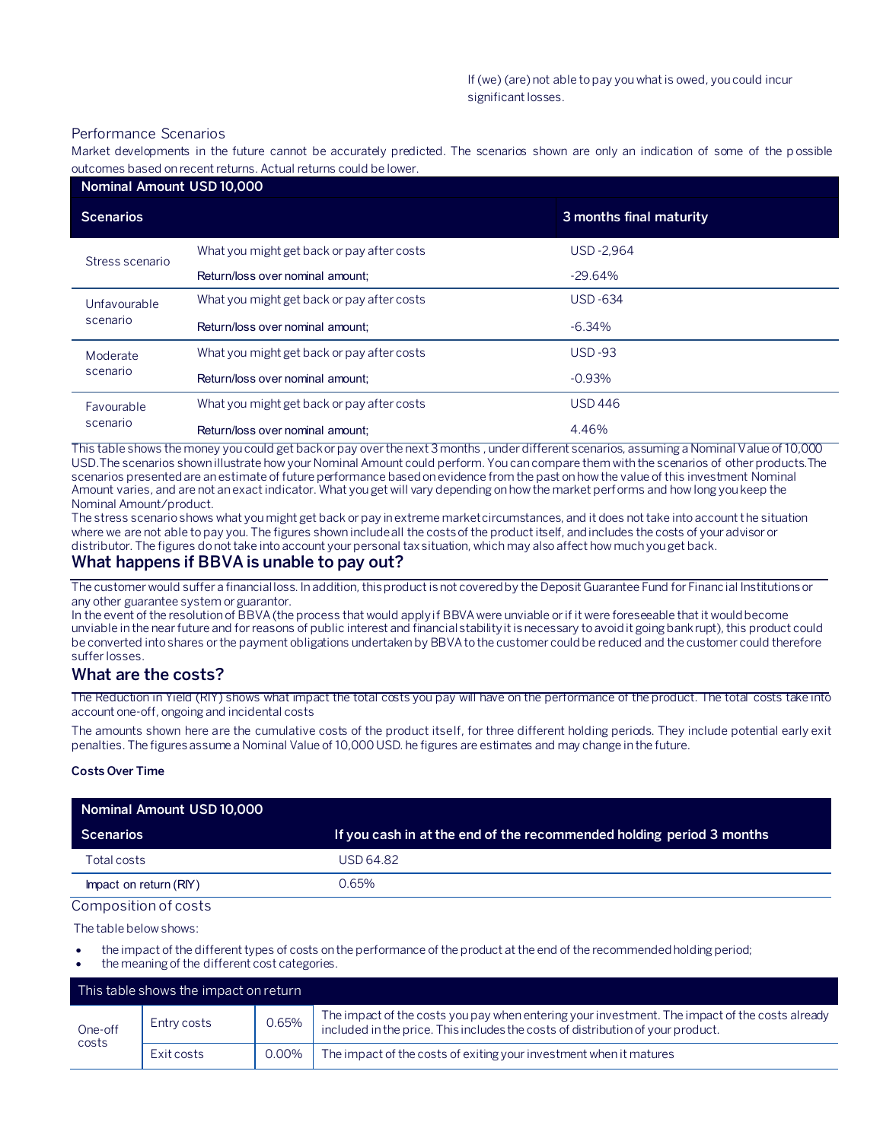#### Performance Scenarios

Market developments in the future cannot be accurately predicted. The scenarios shown are only an indication of some of the p ossible outcomes based on recent returns. Actual returns could be lower.

| Nominal Amount USD 10,000 |                                            |                         |  |
|---------------------------|--------------------------------------------|-------------------------|--|
| <b>Scenarios</b>          |                                            | 3 months final maturity |  |
| Stress scenario           | What you might get back or pay after costs | <b>USD-2.964</b>        |  |
|                           | Return/loss over nominal amount:           | $-29.64%$               |  |
| Unfavourable<br>scenario  | What you might get back or pay after costs | <b>USD-634</b>          |  |
|                           | Return/loss over nominal amount;           | $-6.34%$                |  |
| Moderate<br>scenario      | What you might get back or pay after costs | $USD-93$                |  |
|                           | Return/loss over nominal amount:           | $-0.93%$                |  |
| Favourable<br>scenario    | What you might get back or pay after costs | <b>USD 446</b>          |  |
|                           | Return/loss over nominal amount:           | 4.46%                   |  |

This table shows the money you could get back or pay over the next 3 months , under different scenarios, assuming a Nominal Value of 10,000 USD.The scenarios shown illustrate how your Nominal Amount could perform. You can compare them with the scenarios of other products.The scenarios presented are an estimate of future performance based on evidence from the past on how the value of this investment Nominal Amount varies, and are not an exact indicator. What you get will vary depending on how the market performs and how long you keep the Nominal Amount/product.

The stress scenario shows what you might get back or pay in extreme market circumstances, and it does not take into account the situation where we are not able to pay you. The figures shown include all the costs of the product itself, and includes the costs of your advisor or distributor. The figures do not take into account your personal tax situation, which may also affect how much you get back.

## **What happens if BBVA is unable to pay out?**

The customer would suffer a financial loss. In addition, this product is not covered by the Deposit Guarantee Fund for Financial Institutions or any other guarantee system or guarantor.

In the event of the resolution of BBVA (the process that would apply if BBVA were unviable or if it were foreseeable that it would become unviable in the near future and for reasons of public interest and financial stability it is necessary to avoid it going bankrupt), this product could be converted into shares or the payment obligations undertaken by BBVA to the customer could be reduced and the customer could therefore suffer losses.

## **What are the costs?**

The Reduction in Yield (RIY) shows what impact the total costs you pay will have on the performance of the product. The total costs take into account one-off, ongoing and incidental costs

The amounts shown here are the cumulative costs of the product itself, for three different holding periods. They include potential early exit penalties. The figures assume a Nominal Value of 10,000 USD. he figures are estimates and may change in the future.

#### **Costs Over Time**

| Nominal Amount USD 10,000 |                                                                      |  |
|---------------------------|----------------------------------------------------------------------|--|
| <b>Scenarios</b>          | If you cash in at the end of the recommended holding period 3 months |  |
| Total costs               | USD 64.82                                                            |  |
| Impact on return (RIY)    | 0.65%                                                                |  |

#### Composition of costs

The table below shows:

- the impact of the different types of costs on the performance of the product at the end of the recommended holding period;
- the meaning of the different cost categories.

|                  | This table shows the impact on return |       |                                                                                                                                                                                   |
|------------------|---------------------------------------|-------|-----------------------------------------------------------------------------------------------------------------------------------------------------------------------------------|
| One-off<br>costs | Entry costs                           | 0.65% | The impact of the costs you pay when entering your investment. The impact of the costs already<br>included in the price. This includes the costs of distribution of your product. |
|                  | Exit costs                            | 0.00% | The impact of the costs of exiting your investment when it matures                                                                                                                |